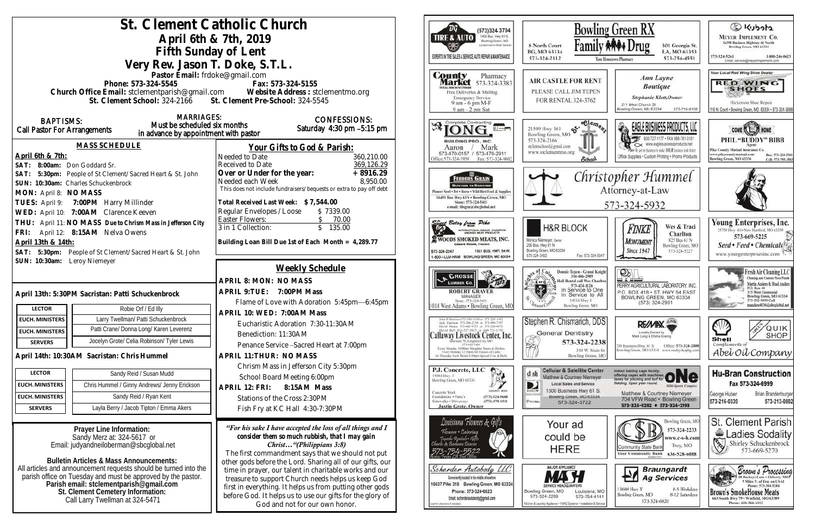|                                                   |                                                                                                                        | St. Clement Catholic Church                                                                                  | ΈG<br>(573)324 3704                                                                                                                                  | Bowli                                                                                       |
|---------------------------------------------------|------------------------------------------------------------------------------------------------------------------------|--------------------------------------------------------------------------------------------------------------|------------------------------------------------------------------------------------------------------------------------------------------------------|---------------------------------------------------------------------------------------------|
|                                                   | April 6th & 7th, 2019                                                                                                  | 400 Busi. Hwy 61 S.<br><b>TIRE &amp; AUTO</b><br>Bowling Green, MO                                           |                                                                                                                                                      |                                                                                             |
|                                                   | Fifth Sunday of Lent                                                                                                   | Located next to Dollar General                                                                               | Famil<br>8 North Court<br>BG, MO 63334                                                                                                               |                                                                                             |
|                                                   | Very Rev. Jason T. Doke, S.T.L.                                                                                        | EXPERTS IN THE SALES & SERVICE, AUTO REPAIR & MAINTENANCE                                                    | 573-324-2112                                                                                                                                         |                                                                                             |
|                                                   | Pastor Email: frdoke@gmail.com                                                                                         |                                                                                                              | County<br>Pharmacy                                                                                                                                   |                                                                                             |
|                                                   | Phone: 573-324-5545                                                                                                    | Fax: 573-324-5155                                                                                            | <b>Market</b> 573-324-3383                                                                                                                           | <b>AIR CASTLE FOR REN</b>                                                                   |
|                                                   |                                                                                                                        | Church Office Email: stclementparish@gmail.com Website Address : stclementmo.org                             | Free Deliveries & Mailing<br><b>Emergency Service</b>                                                                                                | PLEASE CALL JIM TEPE?                                                                       |
|                                                   | St. Clement School: 324-2166 St. Clement Pre-School: 324-5545                                                          |                                                                                                              | 9 am - 6 pm M-F<br>9 am - 2 pm Sat                                                                                                                   | FOR RENTAL 324-3762                                                                         |
| <b>BAPTISMS:</b>                                  | <b>MARRIAGES:</b>                                                                                                      | <b>CONFESSIONS:</b>                                                                                          |                                                                                                                                                      |                                                                                             |
| Call Pastor For Arrangements                      | Must be scheduled six months                                                                                           | Saturday $4:30$ pm $-5:15$ pm                                                                                | Complete Contracting<br>冴                                                                                                                            | $5 - \frac{6 \log n}{n}$<br>21509 Hwy 161                                                   |
|                                                   | in advance by appointment with pastor                                                                                  |                                                                                                              | <b>BUILDING PRO., INC.</b>                                                                                                                           | Bowling Green, MO<br>573-324-2166                                                           |
|                                                   | <b>MASS SCHEDULE</b>                                                                                                   | <u>Your Gifts to God &amp; Parish:</u>                                                                       | Mark<br>Aaron /<br>573-470-0157 / 573-470-2911                                                                                                       | stelemschool@gmail.com<br>www.stelementmo.org                                               |
| April 6th & 7th:<br>SAT: 8:00am: Don Goddard Sr.  |                                                                                                                        | Needed to Date<br>360,210.00<br>369,126.29<br>Received to Date                                               | Office: 573-324-5958<br>Fax: 573-324-9802                                                                                                            | School.                                                                                     |
|                                                   | SAT: 5:30pm: People of St Clement/Sacred Heart & St. John                                                              | $+8916.29$<br>Over or Under for the year:                                                                    | FEEDERS GRAIN                                                                                                                                        | Chri                                                                                        |
|                                                   | SUN: 10:30am: Charles Schuckenbrock                                                                                    | 8,950.00<br>Needed each Week                                                                                 | <b>BACKYARD TO BARNYARD</b>                                                                                                                          |                                                                                             |
| MON: April 8: NO MASS                             |                                                                                                                        | This does not include fundraisers/bequests or extra to pay off debt                                          | Pioneer Seed . Pet . Horse . Wild Bird Feed & Supplies<br>16491 Bus Hwy 61N . Bowling Green, MO                                                      |                                                                                             |
|                                                   | TUES: April 9: 7:00PM Harry Millinder                                                                                  | Total Received Last Week: \$7,544.00                                                                         | Store: 573-324-5411<br>e-mail: fdsgrn@sheglobal.net                                                                                                  |                                                                                             |
|                                                   | WED: April 10: 7:00AM Clarence Keeven                                                                                  | Regular Envelopes / Loose<br>\$7339.00<br><b>Easter Flowers:</b>                                             |                                                                                                                                                      |                                                                                             |
|                                                   | THU: April 11: NO MASS Due to Chrism Mass in Jefferson City                                                            | $\frac{$}{$}$ 70.00<br>$\frac{$}{$}$ 135.00<br>3 in 1 Collection:                                            | <b>Ectsy from Pike</b><br>INTERNATIONAL GRAND CHAMPION                                                                                               | <b>H&amp;R BLOCK</b>                                                                        |
| April 13th & 14th:                                | FRI: April 12: 8:15AM Nelva Owens                                                                                      | Building Loan Bill Due 1st of Each Month = 4,289.77                                                          | WOODS SMOKED MEATS, INC.                                                                                                                             | Monica Niemeyer, Owner                                                                      |
|                                                   | SAT: 5:30pm: People of St Clement/Sacred Heart & St. John                                                              |                                                                                                              | 1501 BUS, HWY, 54 W.<br>573-324-2247                                                                                                                 | 206 Bus. Hwy 61 N<br>Bowling Green, MO 63334                                                |
| SUN: 10:30am: Leroy Niemeyer                      |                                                                                                                        |                                                                                                              | 1-800-I-LUV-HAM BOWLING GREEN, MO 63334                                                                                                              | Fax: 573-324-8<br>573-324-3402                                                              |
|                                                   |                                                                                                                        | <b>Weekly Schedule</b>                                                                                       | & CROSSE                                                                                                                                             | Donnie Tepen - Grand K<br>314-486-2989                                                      |
|                                                   |                                                                                                                        | APRIL 8: MON: NO MASS                                                                                        | <b>LUMBER CO.</b>                                                                                                                                    | Hall Rental call Wes Cha<br>K or C.                                                         |
| April 13th: 5:30PM Sacristan: Patti Schuckenbrock |                                                                                                                        | APRIL 9: TUE: 7:00PM Mass                                                                                    | <b>ROBERT GRAVER</b><br><b>MANAGER</b>                                                                                                               | 573-424-1126<br>In Service to Or<br>In Service to                                           |
| <b>LECTOR</b>                                     | Robie Orf / Ed Illy                                                                                                    | Flame of Love with Adoration 5:45pm-6:45pm                                                                   | Store: 573-324-5431<br>1014 West Adams . Bowling Green, MC                                                                                           | 14516 Hwy J<br>Bowling Green, MO                                                            |
| <b>EUCH. MINISTERS</b>                            | Larry Twellman/ Patti Schuckenbrock                                                                                    | APRIL 10: WED: 7:00AM Mass                                                                                   | John P. Harrison 373-386-5130 or 573-220-1482<br>Jock Harrison 573-386-2138 or 573-990-7197                                                          | Stephen R. Chismarich, DI                                                                   |
| <b>EUCH. MINISTERS</b>                            | Patti Crane/ Donna Long/ Karen Leverenz                                                                                | Eucharistic Adoration 7:30-11:30AM                                                                           | David Means 373-642-9753 or 373-220-0472<br>David Bell 816-327-5635 or 660-T21-1370                                                                  | <b>General Dentistry</b>                                                                    |
| <b>SERVERS</b>                                    | Jocelyn Grote/ Celia Robinson/ Tyler Lewis                                                                             | Benediction: 11:30AM                                                                                         | Callaway Livestock Center, Inc.<br>Interoiste 70, Kingdom City, MO                                                                                   | Ş<br>573-324-22                                                                             |
|                                                   |                                                                                                                        | Penance Service - Sacred Heart at 7:00pm<br>APRIL 11: THUR: NO MASS                                          | Every Monday 10:00am Shinghter Steers & Heilers<br>Every Monitay 12:30pm All Classes of Cattle<br>1st Thursday Each Month 6:00pm Special Cow & Bull- | 310 W. Mai<br>Bowling Green,                                                                |
|                                                   | April 14th: 10:30AM Sacristan: Chris Hummel                                                                            | Chrism Mass in Jefferson City 5:30pm                                                                         |                                                                                                                                                      |                                                                                             |
| <b>LECTOR</b>                                     | Sandy Reid / Susan Mudd                                                                                                | School Board Meeting 6:00pm                                                                                  | P.J. Concrete, LLC<br>15084 Hwy. J                                                                                                                   | <b>Cellular &amp; Satellite Cent</b><br>d sh<br>Matthew & Courtney Niemey                   |
| <b>EUCH. MINISTERS</b>                            | Chris Hummel / Ginny Andrews/ Jenny Erickson                                                                           | APRIL 12: FRI:<br>8:15AM Mass                                                                                | ツ<br>Bowling Green, MO 63334                                                                                                                         | <b>Local Sales and Service</b><br>D                                                         |
| <b>EUCH. MINISTERS</b>                            | Sandy Reid / Ryan Kent                                                                                                 | Stations of the Cross 2:30PM                                                                                 | <b>CONDITION WORK</b><br>Concrete Work<br>Foundations . Patio's<br>$(573)$ 324-5660<br>Sidewalks + Driveways<br>$(573)$ 470-1511                     | 1300 Business Hwy 61 S<br>DIRECTY<br>Bowling Green, MO 6333<br>PUSOMar                      |
| <b>SERVERS</b>                                    | Layla Berry / Jacob Tipton / Emma Akers                                                                                | Fish Fry at KC Hall 4:30-7:30PM                                                                              | <b>Justin Grote, Owner</b>                                                                                                                           | 573-324-3722                                                                                |
|                                                   |                                                                                                                        |                                                                                                              | Louisiana Flowers & Gifts                                                                                                                            | Your ad                                                                                     |
|                                                   | Prayer Line Information:                                                                                               | "For his sake I have accepted the loss of all things and I<br>consider them so much rubbish, that I may gain | Flowers • Catering                                                                                                                                   | could be                                                                                    |
|                                                   | Sandy Merz at: 324-5617 or<br>Email: judyandneiloberman@sbcglobal.net                                                  | Christ"(Philippians 3:8)                                                                                     | Tuxedo Rentals • Gifts<br>Charlie & Barbara Desean                                                                                                   |                                                                                             |
|                                                   |                                                                                                                        | The first commandment says that we should not put                                                            |                                                                                                                                                      | <b>HERE</b>                                                                                 |
|                                                   | <b>Bulletin Articles &amp; Mass Announcements:</b><br>All articles and announcement requests should be turned into the | other gods before the Lord. Sharing all of our gifts, our                                                    | Scherder Autobody LLC                                                                                                                                | <b>MAJOR APPLIANCE</b>                                                                      |
|                                                   | parish office on Tuesday and must be approved by the pastor.                                                           | time in prayer, our talent in charitable works and our<br>treasure to support Church needs helps us keep God | Conveniently located in the middle of nowhere                                                                                                        |                                                                                             |
|                                                   | Parish email: stclementparish@gmail.com<br>St. Clement Cemetery Information:                                           | first in everything. It helps us from putting other gods                                                     | 16637 Pike 318 Bowling Green, MO 63334<br>Phone: 573-324-6023                                                                                        | SERWCE HEADO<br>Bowling Green, MO<br>Louisiana, I                                           |
|                                                   | Call Larry Twellman at 324-5471                                                                                        | before God. It helps us to use our gifts for the glory of                                                    | Email: scherderautobody@gmail.com<br>cal for descripts if readed)                                                                                    | 573-324-2259<br>573-754-41<br>Kitchen & Laundry Appliance + HVAC Systems + Installation & S |
|                                                   |                                                                                                                        | God and not for our own honor.                                                                               |                                                                                                                                                      |                                                                                             |
|                                                   |                                                                                                                        |                                                                                                              |                                                                                                                                                      |                                                                                             |